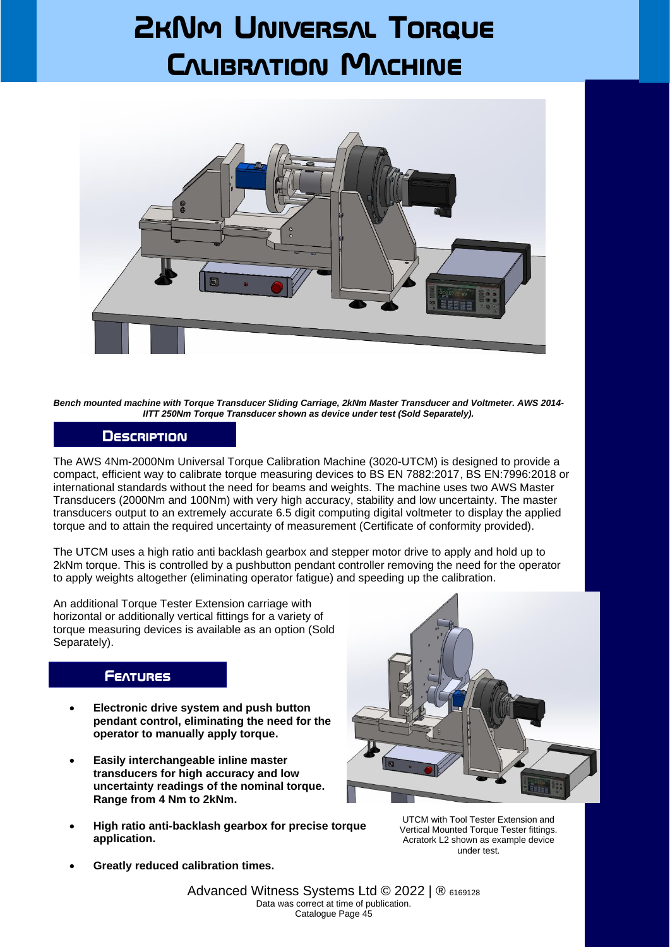# **2kNm Universal Torque Calibration Machine**



*Bench mounted machine with Torque Transducer Sliding Carriage, 2kNm Master Transducer and Voltmeter. AWS 2014- IITT 250Nm Torque Transducer shown as device under test (Sold Separately).*

#### **Description**

The AWS 4Nm-2000Nm Universal Torque Calibration Machine (3020-UTCM) is designed to provide a compact, efficient way to calibrate torque measuring devices to BS EN 7882:2017, BS EN:7996:2018 or international standards without the need for beams and weights. The machine uses two AWS Master Transducers (2000Nm and 100Nm) with very high accuracy, stability and low uncertainty. The master transducers output to an extremely accurate 6.5 digit computing digital voltmeter to display the applied torque and to attain the required uncertainty of measurement (Certificate of conformity provided).

The UTCM uses a high ratio anti backlash gearbox and stepper motor drive to apply and hold up to 2kNm torque. This is controlled by a pushbutton pendant controller removing the need for the operator to apply weights altogether (eliminating operator fatigue) and speeding up the calibration.

An additional Torque Tester Extension carriage with horizontal or additionally vertical fittings for a variety of torque measuring devices is available as an option (Sold Separately).

### **Features**

- **Electronic drive system and push button pendant control, eliminating the need for the operator to manually apply torque.**
- **Easily interchangeable inline master transducers for high accuracy and low uncertainty readings of the nominal torque. Range from 4 Nm to 2kNm.**
- **High ratio anti-backlash gearbox for precise torque application.**



UTCM with Tool Tester Extension and Vertical Mounted Torque Tester fittings. Acratork L2 shown as example device under test.

• **Greatly reduced calibration times.**

Advanced Witness Systems Ltd © 2022 | ® 6169128 Data was correct at time of publication. Catalogue Page 45